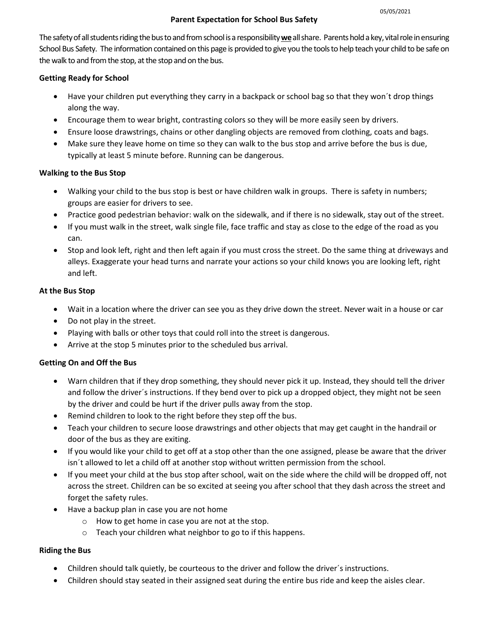#### Parent Expectation for School Bus Safety

The safety of all students riding the bus to and from school is a responsibility we all share. Parents hold a key, vital role in ensuring School Bus Safety. The information contained on this page is provided to give you the tools to help teach your child to be safe on the walk to and from the stop, at the stop and on the bus.

#### Getting Ready for School

- Have your children put everything they carry in a backpack or school bag so that they won´t drop things along the way.
- Encourage them to wear bright, contrasting colors so they will be more easily seen by drivers.
- Ensure loose drawstrings, chains or other dangling objects are removed from clothing, coats and bags.
- Make sure they leave home on time so they can walk to the bus stop and arrive before the bus is due, typically at least 5 minute before. Running can be dangerous.

#### Walking to the Bus Stop

- Walking your child to the bus stop is best or have children walk in groups. There is safety in numbers; groups are easier for drivers to see.
- Practice good pedestrian behavior: walk on the sidewalk, and if there is no sidewalk, stay out of the street.
- If you must walk in the street, walk single file, face traffic and stay as close to the edge of the road as you can.
- Stop and look left, right and then left again if you must cross the street. Do the same thing at driveways and alleys. Exaggerate your head turns and narrate your actions so your child knows you are looking left, right and left.

### At the Bus Stop

- Wait in a location where the driver can see you as they drive down the street. Never wait in a house or car
- Do not play in the street.
- Playing with balls or other toys that could roll into the street is dangerous.
- Arrive at the stop 5 minutes prior to the scheduled bus arrival.

## Getting On and Off the Bus

- Warn children that if they drop something, they should never pick it up. Instead, they should tell the driver and follow the driver´s instructions. If they bend over to pick up a dropped object, they might not be seen by the driver and could be hurt if the driver pulls away from the stop.
- Remind children to look to the right before they step off the bus.
- Teach your children to secure loose drawstrings and other objects that may get caught in the handrail or door of the bus as they are exiting.
- If you would like your child to get off at a stop other than the one assigned, please be aware that the driver isn´t allowed to let a child off at another stop without written permission from the school.
- If you meet your child at the bus stop after school, wait on the side where the child will be dropped off, not across the street. Children can be so excited at seeing you after school that they dash across the street and forget the safety rules.
- Have a backup plan in case you are not home
	- o How to get home in case you are not at the stop.
	- o Teach your children what neighbor to go to if this happens.

## Riding the Bus

- Children should talk quietly, be courteous to the driver and follow the driver´s instructions.
- Children should stay seated in their assigned seat during the entire bus ride and keep the aisles clear.